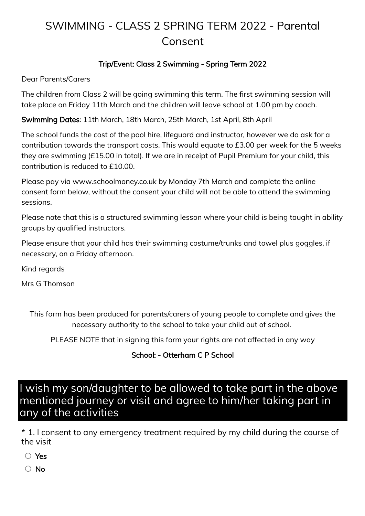# SWIMMING - CLASS 2 SPRING TERM 2022 - Parental Consent

#### Trip/Event: Class 2 Swimming - Spring Term 2022

Dear Parents/Carers

The children from Class 2 will be going swimming this term. The first swimming session will take place on Friday 11th March and the children will leave school at 1.00 pm by coach.

Swimming Dates: 11th March, 18th March, 25th March, 1st April, 8th April

The school funds the cost of the pool hire, lifeguard and instructor, however we do ask for a contribution towards the transport costs. This would equate to £3.00 per week for the 5 weeks they are swimming (£15.00 in total). If we are in receipt of Pupil Premium for your child, this contribution is reduced to £10.00.

Please pay via www.schoolmoney.co.uk by Monday 7th March and complete the online consent form below, without the consent your child will not be able to attend the swimming sessions.

Please note that this is a structured swimming lesson where your child is being taught in ability groups by qualified instructors.

Please ensure that your child has their swimming costume/trunks and towel plus goggles, if necessary, on a Friday afternoon.

Kind regards

Mrs G Thomson

This form has been produced for parents/carers of young people to complete and gives the necessary authority to the school to take your child out of school.

PLEASE NOTE that in signing this form your rights are not affected in any way

#### School: - Otterham C P School

## I wish my son/daughter to be allowed to take part in the above mentioned journey or visit and agree to him/her taking part in any of the activities

\* 1. I consent to any emergency treatment required by my child during the course of the visit

Yes

○ No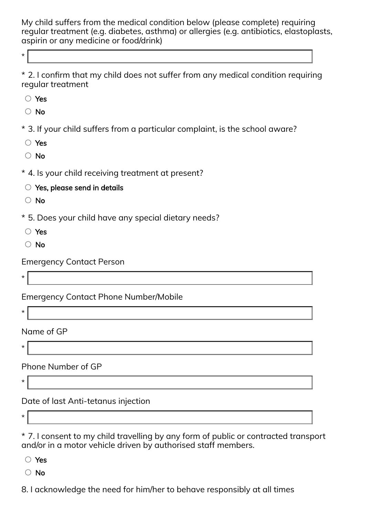My child suffers from the medical condition below (please complete) requiring regular treatment (e.g. diabetes, asthma) or allergies (e.g. antibiotics, elastoplasts, aspirin or any medicine or food/drink)

\* 2. I confirm that my child does not suffer from any medical condition requiring regular treatment

Yes

\*

 $\bigcirc$  No

\* 3. If your child suffers from a particular complaint, is the school aware?

Yes

○ No

\* 4. Is your child receiving treatment at present?

 $\circlearrowright$  Yes, please send in details

○ No

\* 5. Does your child have any special dietary needs?

Yes

○ No

Emergency Contact Person

\*

\*

Emergency Contact Phone Number/Mobile

Name of GP

Phone Number of GP

\*

\*

Date of last Anti-tetanus injection

\*

\* 7. I consent to my child travelling by any form of public or contracted transport and/or in a motor vehicle driven by authorised staff members.

Yes

No

8. I acknowledge the need for him/her to behave responsibly at all times